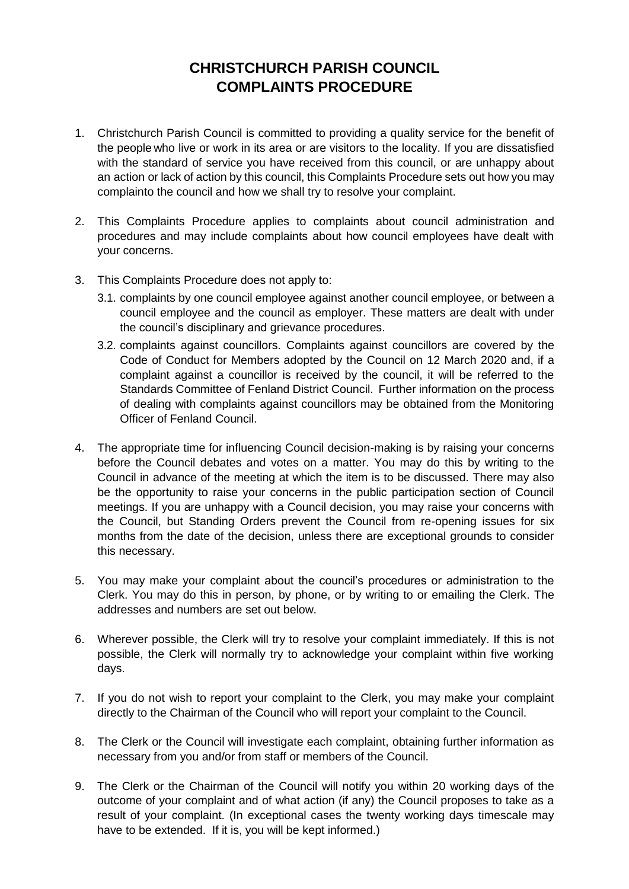## **CHRISTCHURCH PARISH COUNCIL COMPLAINTS PROCEDURE**

- 1. Christchurch Parish Council is committed to providing a quality service for the benefit of the people who live or work in its area or are visitors to the locality. If you are dissatisfied with the standard of service you have received from this council, or are unhappy about an action or lack of action by this council, this Complaints Procedure sets out how you may complainto the council and how we shall try to resolve your complaint.
- 2. This Complaints Procedure applies to complaints about council administration and procedures and may include complaints about how council employees have dealt with your concerns.
- 3. This Complaints Procedure does not apply to:
	- 3.1. complaints by one council employee against another council employee, or between a council employee and the council as employer. These matters are dealt with under the council's disciplinary and grievance procedures.
	- 3.2. complaints against councillors. Complaints against councillors are covered by the Code of Conduct for Members adopted by the Council on 12 March 2020 and, if a complaint against a councillor is received by the council, it will be referred to the Standards Committee of Fenland District Council. Further information on the process of dealing with complaints against councillors may be obtained from the Monitoring Officer of Fenland Council.
- 4. The appropriate time for influencing Council decision-making is by raising your concerns before the Council debates and votes on a matter. You may do this by writing to the Council in advance of the meeting at which the item is to be discussed. There may also be the opportunity to raise your concerns in the public participation section of Council meetings. If you are unhappy with a Council decision, you may raise your concerns with the Council, but Standing Orders prevent the Council from re-opening issues for six months from the date of the decision, unless there are exceptional grounds to consider this necessary.
- 5. You may make your complaint about the council's procedures or administration to the Clerk. You may do this in person, by phone, or by writing to or emailing the Clerk. The addresses and numbers are set out below.
- 6. Wherever possible, the Clerk will try to resolve your complaint immediately. If this is not possible, the Clerk will normally try to acknowledge your complaint within five working days.
- 7. If you do not wish to report your complaint to the Clerk, you may make your complaint directly to the Chairman of the Council who will report your complaint to the Council.
- 8. The Clerk or the Council will investigate each complaint, obtaining further information as necessary from you and/or from staff or members of the Council.
- 9. The Clerk or the Chairman of the Council will notify you within 20 working days of the outcome of your complaint and of what action (if any) the Council proposes to take as a result of your complaint. (In exceptional cases the twenty working days timescale may have to be extended. If it is, you will be kept informed.)